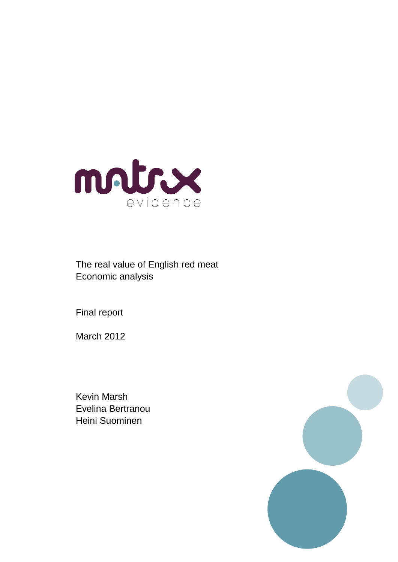

The real value of English red meat Economic analysis

Final report

March 2012

Kevin Marsh Evelina Bertranou Heini Suominen

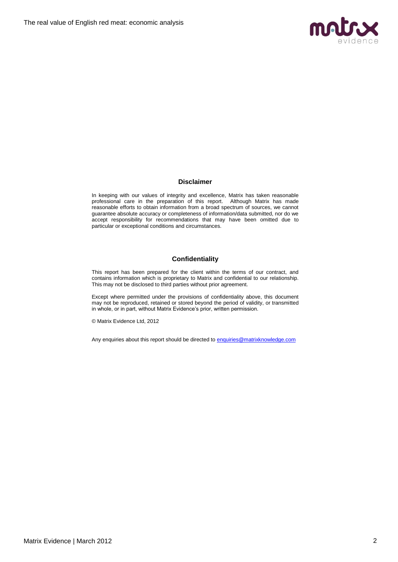

#### **Disclaimer**

In keeping with our values of integrity and excellence, Matrix has taken reasonable professional care in the preparation of this report. Although Matrix has made reasonable efforts to obtain information from a broad spectrum of sources, we cannot guarantee absolute accuracy or completeness of information/data submitted, nor do we accept responsibility for recommendations that may have been omitted due to particular or exceptional conditions and circumstances.

## **Confidentiality**

This report has been prepared for the client within the terms of our contract, and contains information which is proprietary to Matrix and confidential to our relationship. This may not be disclosed to third parties without prior agreement.

Except where permitted under the provisions of confidentiality above, this document may not be reproduced, retained or stored beyond the period of validity, or transmitted in whole, or in part, without Matrix Evidence's prior, written permission.

© Matrix Evidence Ltd, 2012

Any enquiries about this report should be directed to **enquiries@matrixknowledge.com**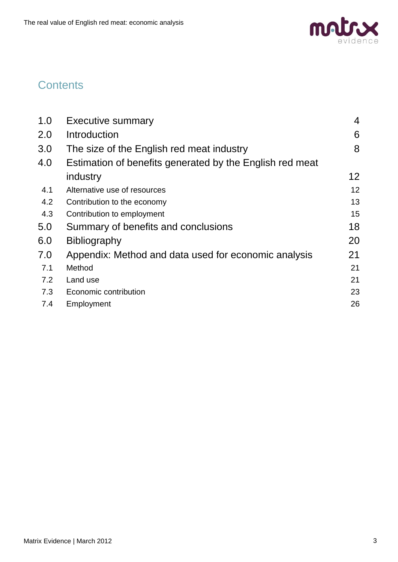

# **Contents**

| 1.0 | <b>Executive summary</b>                                 | $\overline{4}$ |
|-----|----------------------------------------------------------|----------------|
| 2.0 | Introduction                                             | 6              |
| 3.0 | The size of the English red meat industry                | 8              |
| 4.0 | Estimation of benefits generated by the English red meat |                |
|     | industry                                                 | 12             |
| 4.1 | Alternative use of resources                             | 12             |
| 4.2 | Contribution to the economy                              | 13             |
| 4.3 | Contribution to employment                               | 15             |
| 5.0 | Summary of benefits and conclusions                      | 18             |
| 6.0 | <b>Bibliography</b>                                      | 20             |
| 7.0 | Appendix: Method and data used for economic analysis     | 21             |
| 7.1 | Method                                                   | 21             |
| 7.2 | Land use                                                 | 21             |
| 7.3 | Economic contribution                                    | 23             |
| 7.4 | Employment                                               | 26             |
|     |                                                          |                |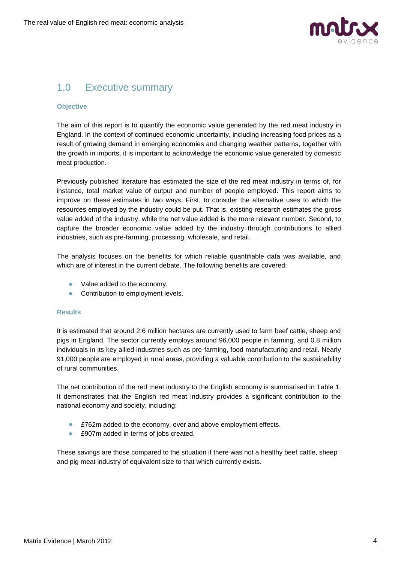

## <span id="page-3-0"></span>1.0 Executive summary

## **Objective**

The aim of this report is to quantify the economic value generated by the red meat industry in England. In the context of continued economic uncertainty, including increasing food prices as a result of growing demand in emerging economies and changing weather patterns, together with the growth in imports, it is important to acknowledge the economic value generated by domestic meat production.

Previously published literature has estimated the size of the red meat industry in terms of, for instance, total market value of output and number of people employed. This report aims to improve on these estimates in two ways. First, to consider the alternative uses to which the resources employed by the industry could be put. That is, existing research estimates the gross value added of the industry, while the net value added is the more relevant number. Second, to capture the broader economic value added by the industry through contributions to allied industries, such as pre-farming, processing, wholesale, and retail.

The analysis focuses on the benefits for which reliable quantifiable data was available, and which are of interest in the current debate. The following benefits are covered:

- Value added to the economy.
- Contribution to employment levels.

#### **Results**

It is estimated that around 2.6 million hectares are currently used to farm beef cattle, sheep and pigs in England. The sector currently employs around 96,000 people in farming, and 0.8 million individuals in its key allied industries such as pre-farming, food manufacturing and retail. Nearly 91,000 people are employed in rural areas, providing a valuable contribution to the sustainability of rural communities.

The net contribution of the red meat industry to the English economy is summarised in Table 1. It demonstrates that the English red meat industry provides a significant contribution to the national economy and society, including:

- £762m added to the economy, over and above employment effects.
- £907m added in terms of jobs created.

These savings are those compared to the situation if there was not a healthy beef cattle, sheep and pig meat industry of equivalent size to that which currently exists.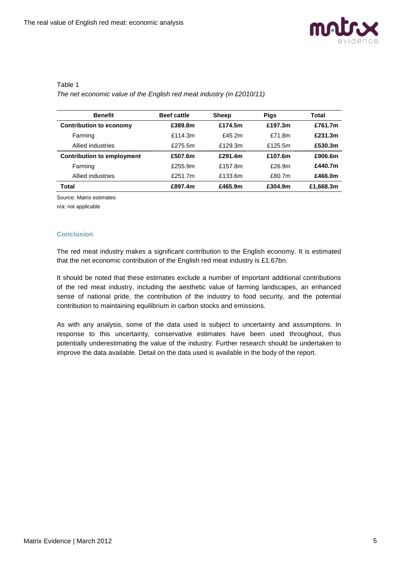

## Table 1

*The net economic value of the English red meat industry (in £2010/11)*

| <b>Benefit</b>                    | <b>Beef cattle</b> | <b>Sheep</b> | <b>Pigs</b> | Total     |
|-----------------------------------|--------------------|--------------|-------------|-----------|
| <b>Contribution to economy</b>    | £389.8m            | £174.5m      | £197.3m     | £761.7m   |
| Farming                           | £114.3m            | f45.2m       | £71.8m      | £231.3m   |
| Allied industries                 | £275.5m            | f129.3m      | £125.5m     | £530.3m   |
| <b>Contribution to employment</b> | £507.6m            | £291.4m      | £107.6m     | £906.6m   |
| Farming                           | £255.9m            | £157.8m      | $f$ 26.9m   | £440.7m   |
| Allied industries                 | $f$ 251.7m         | £133.6m      | £80.7m      | £466.0m   |
| Total                             | £897.4m            | £465.9m      | £304.9m     | £1,668.3m |

Source: Matrix estimates

n/a: not applicable

## **Conclusion**

The red meat industry makes a significant contribution to the English economy. It is estimated that the net economic contribution of the English red meat industry is £1.67bn.

It should be noted that these estimates exclude a number of important additional contributions of the red meat industry, including the aesthetic value of farming landscapes, an enhanced sense of national pride, the contribution of the industry to food security, and the potential contribution to maintaining equilibrium in carbon stocks and emissions.

As with any analysis, some of the data used is subject to uncertainty and assumptions. In response to this uncertainty, conservative estimates have been used throughout, thus potentially underestimating the value of the industry. Further research should be undertaken to improve the data available. Detail on the data used is available in the body of the report.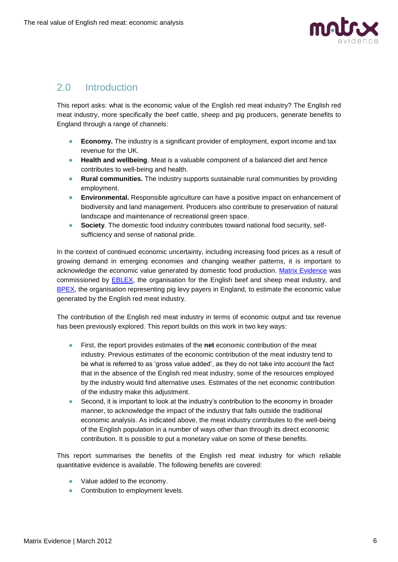

## <span id="page-5-0"></span>2.0 Introduction

This report asks: what is the economic value of the English red meat industry? The English red meat industry, more specifically the beef cattle, sheep and pig producers, generate benefits to England through a range of channels:

- **Economy.** The industry is a significant provider of employment, export income and tax revenue for the UK.
- **Health and wellbeing**. Meat is a valuable component of a balanced diet and hence contributes to well-being and health.
- **Rural communities.** The industry supports sustainable rural communities by providing employment.
- **Environmental.** Responsible agriculture can have a positive impact on enhancement of biodiversity and land management. Producers also contribute to preservation of natural landscape and maintenance of recreational green space.
- $\bullet$ **Society**. The domestic food industry contributes toward national food security, selfsufficiency and sense of national pride.

In the context of continued economic uncertainty, including increasing food prices as a result of growing demand in emerging economies and changing weather patterns, it is important to acknowledge the economic value generated by domestic food production. [Matrix Evidence](http://www.matrixknowledge.com/evidence) was commissioned by [EBLEX,](http://www.eblex.org.uk/) the organisation for the English beef and sheep meat industry, and [BPEX,](http://www.bpex.org.uk/) the organisation representing pig levy payers in England, to estimate the economic value generated by the English red meat industry.

The contribution of the English red meat industry in terms of economic output and tax revenue has been previously explored. This report builds on this work in two key ways:

- $\bullet$ First, the report provides estimates of the **net** economic contribution of the meat industry. Previous estimates of the economic contribution of the meat industry tend to be what is referred to as "gross value added", as they do not take into account the fact that in the absence of the English red meat industry, some of the resources employed by the industry would find alternative uses. Estimates of the net economic contribution of the industry make this adjustment.
- $\bullet$ Second, it is important to look at the industry's contribution to the economy in broader manner, to acknowledge the impact of the industry that falls outside the traditional economic analysis. As indicated above, the meat industry contributes to the well-being of the English population in a number of ways other than through its direct economic contribution. It is possible to put a monetary value on some of these benefits.

This report summarises the benefits of the English red meat industry for which reliable quantitative evidence is available. The following benefits are covered:

- Value added to the economy.
- Contribution to employment levels.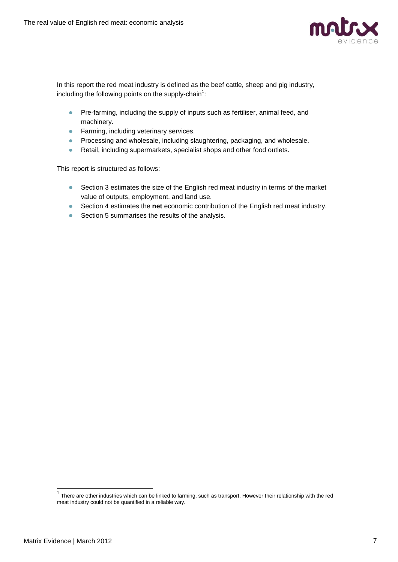

In this report the red meat industry is defined as the beef cattle, sheep and pig industry, including the following points on the supply-chain<sup>1</sup>:

- Pre-farming, including the supply of inputs such as fertiliser, animal feed, and  $\bullet$ machinery.
- **•** Farming, including veterinary services.
- **•** Processing and wholesale, including slaughtering, packaging, and wholesale.
- $\bullet$ Retail, including supermarkets, specialist shops and other food outlets.

This report is structured as follows:

- Section 3 estimates the size of the English red meat industry in terms of the market  $\bullet$ value of outputs, employment, and land use.
- Section 4 estimates the **net** economic contribution of the English red meat industry.
- Section 5 summarises the results of the analysis.

 1 There are other industries which can be linked to farming, such as transport. However their relationship with the red meat industry could not be quantified in a reliable way.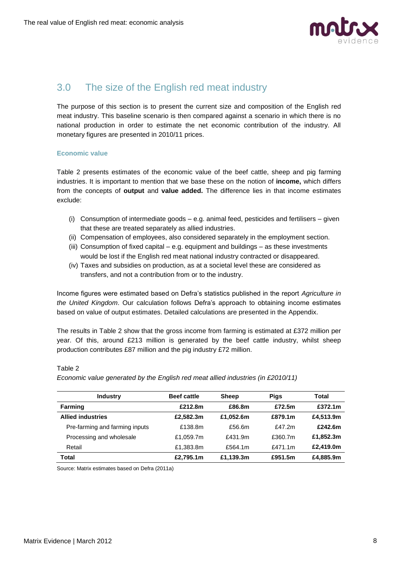

## <span id="page-7-0"></span>3.0 The size of the English red meat industry

The purpose of this section is to present the current size and composition of the English red meat industry. This baseline scenario is then compared against a scenario in which there is no national production in order to estimate the net economic contribution of the industry. All monetary figures are presented in 2010/11 prices.

## **Economic value**

Table 2 presents estimates of the economic value of the beef cattle, sheep and pig farming industries. It is important to mention that we base these on the notion of **income,** which differs from the concepts of **output** and **value added.** The difference lies in that income estimates exclude:

- (i) Consumption of intermediate goods e.g. animal feed, pesticides and fertilisers given that these are treated separately as allied industries.
- (ii) Compensation of employees, also considered separately in the employment section.
- (iii) Consumption of fixed capital e.g. equipment and buildings as these investments would be lost if the English red meat national industry contracted or disappeared.
- (iv) Taxes and subsidies on production, as at a societal level these are considered as transfers, and not a contribution from or to the industry.

Income figures were estimated based on Defra"s statistics published in the report *Agriculture in the United Kingdom*. Our calculation follows Defra"s approach to obtaining income estimates based on value of output estimates. Detailed calculations are presented in the Appendix.

The results in Table 2 show that the gross income from farming is estimated at £372 million per year. Of this, around £213 million is generated by the beef cattle industry, whilst sheep production contributes £87 million and the pig industry £72 million.

| <b>Industry</b>                | <b>Beef cattle</b> | <b>Sheep</b> | <b>Pigs</b> | Total     |
|--------------------------------|--------------------|--------------|-------------|-----------|
| <b>Farming</b>                 | £212.8m            | £86.8m       | £72.5m      | £372.1m   |
| <b>Allied industries</b>       | £2.582.3m          | £1.052.6m    | £879.1m     | £4,513.9m |
| Pre-farming and farming inputs | £138.8m            | £56.6m       | f47.2m      | £242.6m   |
| Processing and wholesale       | £1.059.7m          | £431.9m      | £360.7m     | £1.852.3m |
| Retail                         | £1,383.8m          | £564.1m      | f471.1m     | £2.419.0m |
| Total                          | £2,795.1m          | £1,139.3m    | £951.5m     | £4,885.9m |

#### Table 2

*Economic value generated by the English red meat allied industries (in £2010/11)*

Source: Matrix estimates based on Defra (2011a)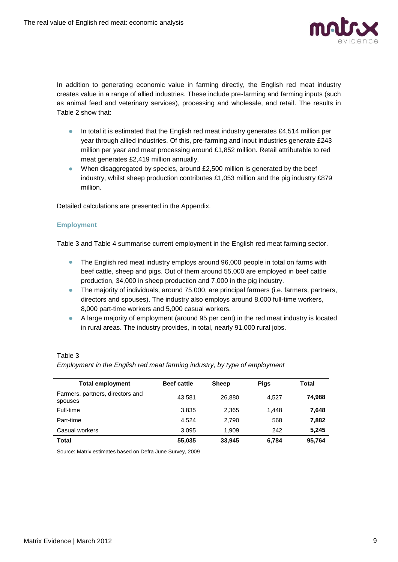

In addition to generating economic value in farming directly, the English red meat industry creates value in a range of allied industries. These include pre-farming and farming inputs (such as animal feed and veterinary services), processing and wholesale, and retail. The results in Table 2 show that:

- In total it is estimated that the English red meat industry generates  $£4,514$  million per year through allied industries. Of this, pre-farming and input industries generate £243 million per year and meat processing around £1,852 million. Retail attributable to red meat generates £2,419 million annually.
- When disaggregated by species, around £2,500 million is generated by the beef industry, whilst sheep production contributes  $£1,053$  million and the pig industry £879 million.

Detailed calculations are presented in the Appendix.

## **Employment**

Table 3 and Table 4 summarise current employment in the English red meat farming sector.

- The English red meat industry employs around 96,000 people in total on farms with  $\bullet$ beef cattle, sheep and pigs. Out of them around 55,000 are employed in beef cattle production, 34,000 in sheep production and 7,000 in the pig industry.
- The majority of individuals, around 75,000, are principal farmers (i.e. farmers, partners, directors and spouses). The industry also employs around 8,000 full-time workers, 8,000 part-time workers and 5,000 casual workers.
- A large majority of employment (around 95 per cent) in the red meat industry is located in rural areas. The industry provides, in total, nearly 91,000 rural jobs.

## Table 3

## *Employment in the English red meat farming industry, by type of employment*

| <b>Total employment</b>                     | <b>Beef cattle</b> | <b>Sheep</b> | <b>Pigs</b> | Total  |
|---------------------------------------------|--------------------|--------------|-------------|--------|
| Farmers, partners, directors and<br>spouses | 43.581             | 26,880       | 4.527       | 74.988 |
| Full-time                                   | 3,835              | 2,365        | 1.448       | 7,648  |
| Part-time                                   | 4.524              | 2,790        | 568         | 7,882  |
| Casual workers                              | 3.095              | 1.909        | 242         | 5,245  |
| <b>Total</b>                                | 55,035             | 33,945       | 6,784       | 95,764 |

Source: Matrix estimates based on Defra June Survey, 2009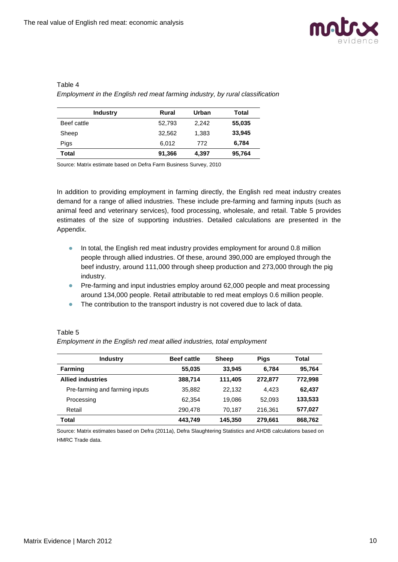

## Table 4

*Employment in the English red meat farming industry, by rural classification*

| <b>Industry</b> | Rural  | Urban | Total  |
|-----------------|--------|-------|--------|
| Beef cattle     | 52,793 | 2.242 | 55,035 |
| Sheep           | 32,562 | 1,383 | 33,945 |
| Pigs            | 6.012  | 772   | 6,784  |
| Total           | 91,366 | 4,397 | 95,764 |

Source: Matrix estimate based on Defra Farm Business Survey, 2010

In addition to providing employment in farming directly, the English red meat industry creates demand for a range of allied industries. These include pre-farming and farming inputs (such as animal feed and veterinary services), food processing, wholesale, and retail. Table 5 provides estimates of the size of supporting industries. Detailed calculations are presented in the Appendix.

- In total, the English red meat industry provides employment for around 0.8 million  $\bullet$  . people through allied industries. Of these, around 390,000 are employed through the beef industry, around 111,000 through sheep production and 273,000 through the pig industry.
- Pre-farming and input industries employ around 62,000 people and meat processing around 134,000 people. Retail attributable to red meat employs 0.6 million people.
- The contribution to the transport industry is not covered due to lack of data.

## Table 5

*Employment in the English red meat allied industries, total employment*

| <b>Industry</b>                | <b>Beef cattle</b> | <b>Sheep</b> | <b>Pigs</b> | Total   |
|--------------------------------|--------------------|--------------|-------------|---------|
| <b>Farming</b>                 | 55,035             | 33.945       | 6.784       | 95,764  |
| <b>Allied industries</b>       | 388,714            | 111.405      | 272.877     | 772,998 |
| Pre-farming and farming inputs | 35,882             | 22.132       | 4.423       | 62,437  |
| Processing                     | 62.354             | 19.086       | 52.093      | 133,533 |
| Retail                         | 290.478            | 70.187       | 216,361     | 577,027 |
| <b>Total</b>                   | 443,749            | 145,350      | 279,661     | 868,762 |

Source: Matrix estimates based on Defra (2011a), Defra Slaughtering Statistics and AHDB calculations based on HMRC Trade data.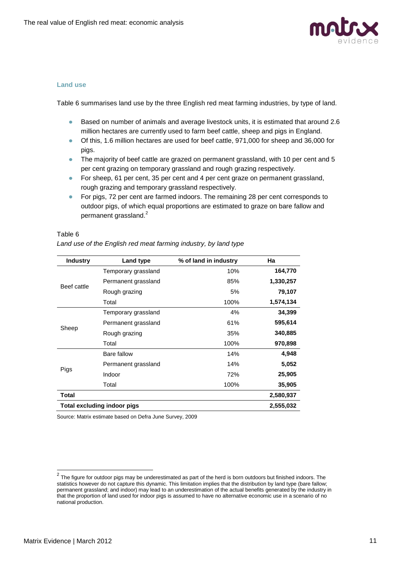

#### **Land use**

Table 6 summarises land use by the three English red meat farming industries, by type of land.

- Based on number of animals and average livestock units, it is estimated that around 2.6 million hectares are currently used to farm beef cattle, sheep and pigs in England.
- Of this, 1.6 million hectares are used for beef cattle, 971,000 for sheep and 36,000 for pigs.
- The majority of beef cattle are grazed on permanent grassland, with 10 per cent and 5 per cent grazing on temporary grassland and rough grazing respectively.
- For sheep, 61 per cent, 35 per cent and 4 per cent graze on permanent grassland, rough grazing and temporary grassland respectively.
- **For pigs, 72 per cent are farmed indoors. The remaining 28 per cent corresponds to** outdoor pigs, of which equal proportions are estimated to graze on bare fallow and permanent grassland.<sup>2</sup>

#### Table 6

| <b>Industry</b>                                 | Land type           | % of land in industry | Ha        |  |
|-------------------------------------------------|---------------------|-----------------------|-----------|--|
|                                                 | Temporary grassland | 10%                   | 164,770   |  |
|                                                 | Permanent grassland | 85%                   | 1,330,257 |  |
| Beef cattle                                     | Rough grazing       | 5%                    | 79,107    |  |
|                                                 | Total               | 100%                  | 1,574,134 |  |
|                                                 | Temporary grassland | 4%                    | 34,399    |  |
|                                                 | Permanent grassland | 61%                   | 595,614   |  |
| Sheep                                           | Rough grazing       | 35%                   | 340,885   |  |
|                                                 | Total               | 100%                  | 970,898   |  |
|                                                 | Bare fallow         | 14%                   | 4,948     |  |
|                                                 | Permanent grassland | 14%                   | 5,052     |  |
| Pigs                                            | Indoor              | 72%                   | 25,905    |  |
|                                                 | Total               | 100%                  | 35,905    |  |
| Total                                           |                     |                       | 2,580,937 |  |
| <b>Total excluding indoor pigs</b><br>2,555,032 |                     |                       |           |  |

*Land use of the English red meat farming industry, by land type*

Source: Matrix estimate based on Defra June Survey, 2009

 2 The figure for outdoor pigs may be underestimated as part of the herd is born outdoors but finished indoors. The statistics however do not capture this dynamic. This limitation implies that the distribution by land type (bare fallow; permanent grassland; and indoor) may lead to an underestimation of the actual benefits generated by the industry in that the proportion of land used for indoor pigs is assumed to have no alternative economic use in a scenario of no national production.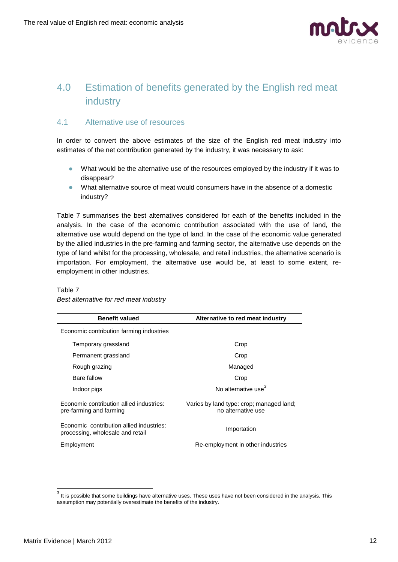

## <span id="page-11-0"></span>4.0 Estimation of benefits generated by the English red meat industry

## <span id="page-11-1"></span>4.1 Alternative use of resources

In order to convert the above estimates of the size of the English red meat industry into estimates of the net contribution generated by the industry, it was necessary to ask:

- What would be the alternative use of the resources employed by the industry if it was to disappear?
- What alternative source of meat would consumers have in the absence of a domestic industry?

Table 7 summarises the best alternatives considered for each of the benefits included in the analysis. In the case of the economic contribution associated with the use of land, the alternative use would depend on the type of land. In the case of the economic value generated by the allied industries in the pre-farming and farming sector, the alternative use depends on the type of land whilst for the processing, wholesale, and retail industries, the alternative scenario is importation. For employment, the alternative use would be, at least to some extent, reemployment in other industries.

| <b>Benefit valued</b>                                                        | Alternative to red meat industry                               |
|------------------------------------------------------------------------------|----------------------------------------------------------------|
| Economic contribution farming industries                                     |                                                                |
| Temporary grassland                                                          | Crop                                                           |
| Permanent grassland                                                          | Crop                                                           |
| Rough grazing                                                                | Managed                                                        |
| Bare fallow                                                                  | Crop                                                           |
| Indoor pigs                                                                  | No alternative use <sup>3</sup>                                |
| Economic contribution allied industries:<br>pre-farming and farming          | Varies by land type: crop; managed land;<br>no alternative use |
| Economic contribution allied industries:<br>processing, wholesale and retail | Importation                                                    |
| Employment                                                                   | Re-employment in other industries                              |

## Table 7 *Best alternative for red meat industry*

 3 It is possible that some buildings have alternative uses. These uses have not been considered in the analysis. This assumption may potentially overestimate the benefits of the industry.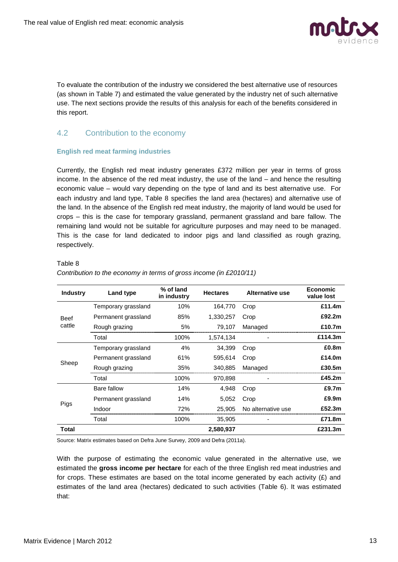

To evaluate the contribution of the industry we considered the best alternative use of resources (as shown in Table 7) and estimated the value generated by the industry net of such alternative use. The next sections provide the results of this analysis for each of the benefits considered in this report.

## <span id="page-12-0"></span>4.2 Contribution to the economy

## **English red meat farming industries**

Currently, the English red meat industry generates £372 million per year in terms of gross income. In the absence of the red meat industry, the use of the land – and hence the resulting economic value – would vary depending on the type of land and its best alternative use. For each industry and land type, Table 8 specifies the land area (hectares) and alternative use of the land. In the absence of the English red meat industry, the majority of land would be used for crops – this is the case for temporary grassland, permanent grassland and bare fallow. The remaining land would not be suitable for agriculture purposes and may need to be managed. This is the case for land dedicated to indoor pigs and land classified as rough grazing, respectively.

#### Table 8

| <b>Industry</b> | Land type           | % of land<br>in industry | <b>Hectares</b> | Alternative use    | <b>Economic</b><br>value lost |
|-----------------|---------------------|--------------------------|-----------------|--------------------|-------------------------------|
|                 | Temporary grassland | 10%                      | 164.770         | Crop               | £11.4m                        |
| <b>Beef</b>     | Permanent grassland | 85%                      | 1,330,257       | Crop               | £92.2m                        |
| cattle          | Rough grazing       | 5%                       | 79,107          | Managed            | £10.7m                        |
|                 | Total               | 100%                     | 1,574,134       |                    | £114.3m                       |
|                 | Temporary grassland | 4%                       | 34,399          | Crop               | £0.8m                         |
|                 | Permanent grassland | 61%                      | 595,614         | Crop               | £14.0m                        |
| Sheep           | Rough grazing       | 35%                      | 340.885         | Managed            | £30.5m                        |
|                 | Total               | 100%                     | 970,898         |                    | £45.2m                        |
|                 | Bare fallow         | 14%                      | 4,948           | Crop               | £9.7m                         |
|                 | Permanent grassland | 14%                      | 5,052           | Crop               | £9.9m                         |
| Pigs            | Indoor              | 72%                      | 25,905          | No alternative use | £52.3m                        |
|                 | Total               | 100%                     | 35,905          |                    | £71.8m                        |
| Total           |                     |                          | 2,580,937       |                    | £231.3m                       |

*Contribution to the economy in terms of gross income (in £2010/11)*

Source: Matrix estimates based on Defra June Survey, 2009 and Defra (2011a).

With the purpose of estimating the economic value generated in the alternative use, we estimated the **gross income per hectare** for each of the three English red meat industries and for crops. These estimates are based on the total income generated by each activity (£) and estimates of the land area (hectares) dedicated to such activities (Table 6). It was estimated that: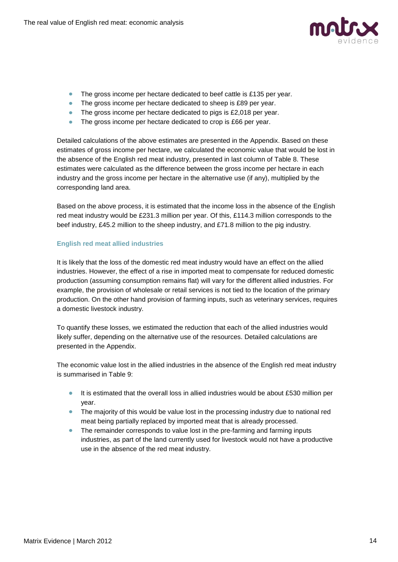

- The gross income per hectare dedicated to beef cattle is £135 per year.
- The gross income per hectare dedicated to sheep is £89 per year.
- The gross income per hectare dedicated to pigs is £2,018 per year.
- $\bullet$ The gross income per hectare dedicated to crop is £66 per year.

Detailed calculations of the above estimates are presented in the Appendix. Based on these estimates of gross income per hectare, we calculated the economic value that would be lost in the absence of the English red meat industry, presented in last column of Table 8. These estimates were calculated as the difference between the gross income per hectare in each industry and the gross income per hectare in the alternative use (if any), multiplied by the corresponding land area.

Based on the above process, it is estimated that the income loss in the absence of the English red meat industry would be £231.3 million per year. Of this, £114.3 million corresponds to the beef industry, £45.2 million to the sheep industry, and £71.8 million to the pig industry.

## **English red meat allied industries**

It is likely that the loss of the domestic red meat industry would have an effect on the allied industries. However, the effect of a rise in imported meat to compensate for reduced domestic production (assuming consumption remains flat) will vary for the different allied industries. For example, the provision of wholesale or retail services is not tied to the location of the primary production. On the other hand provision of farming inputs, such as veterinary services, requires a domestic livestock industry.

To quantify these losses, we estimated the reduction that each of the allied industries would likely suffer, depending on the alternative use of the resources. Detailed calculations are presented in the Appendix.

The economic value lost in the allied industries in the absence of the English red meat industry is summarised in Table 9:

- It is estimated that the overall loss in allied industries would be about £530 million per year.
- The majority of this would be value lost in the processing industry due to national red meat being partially replaced by imported meat that is already processed.
- The remainder corresponds to value lost in the pre-farming and farming inputs industries, as part of the land currently used for livestock would not have a productive use in the absence of the red meat industry.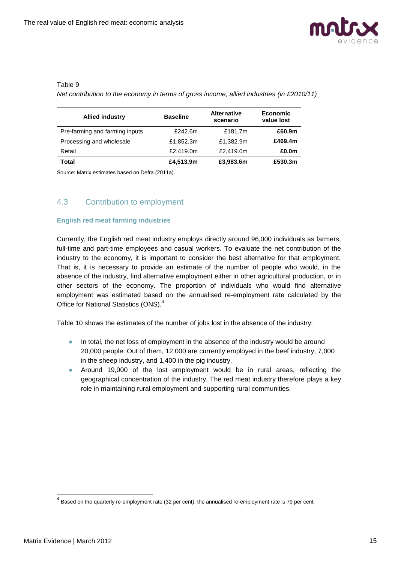

## Table 9

*Net contribution to the economy in terms of gross income, allied industries (in £2010/11)*

| <b>Allied industry</b>         | <b>Baseline</b> | <b>Alternative</b><br>scenario | <b>Economic</b><br>value lost |
|--------------------------------|-----------------|--------------------------------|-------------------------------|
| Pre-farming and farming inputs | £242.6m         | £181.7m                        | £60.9m                        |
| Processing and wholesale       | £1,852.3m       | £1,382.9m                      | £469.4m                       |
| Retail                         | £2,419.0m       | £2,419.0m                      | £0.0m                         |
| Total                          | £4,513.9m       | £3,983.6m                      | £530.3m                       |

Source: Matrix estimates based on Defra (2011a).

## <span id="page-14-0"></span>4.3 Contribution to employment

## **English red meat farming industries**

Currently, the English red meat industry employs directly around 96,000 individuals as farmers, full-time and part-time employees and casual workers. To evaluate the net contribution of the industry to the economy, it is important to consider the best alternative for that employment. That is, it is necessary to provide an estimate of the number of people who would, in the absence of the industry, find alternative employment either in other agricultural production, or in other sectors of the economy. The proportion of individuals who would find alternative employment was estimated based on the annualised re-employment rate calculated by the Office for National Statistics (ONS). 4

Table 10 shows the estimates of the number of jobs lost in the absence of the industry:

- In total, the net loss of employment in the absence of the industry would be around  $\bullet$ 20,000 people. Out of them, 12,000 are currently employed in the beef industry, 7,000 in the sheep industry, and 1,400 in the pig industry.
- Around 19,000 of the lost employment would be in rural areas, reflecting the geographical concentration of the industry. The red meat industry therefore plays a key role in maintaining rural employment and supporting rural communities.

-

 $^4$  Based on the quarterly re-employment rate (32 per cent), the annualised re-employment rate is 79 per cent.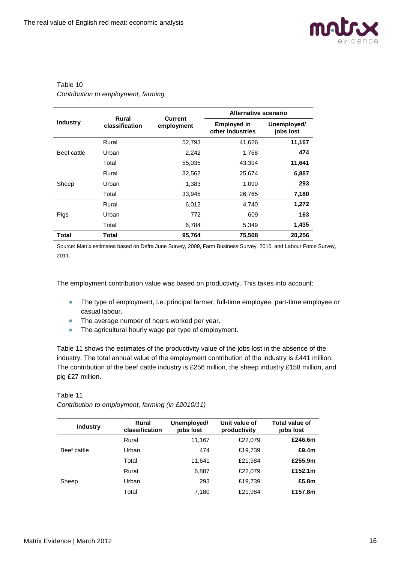

## Table 10 *Contribution to employment, farming*

|                 | Rural                        | <b>Current</b> | Alternative scenario                   |                          |  |
|-----------------|------------------------------|----------------|----------------------------------------|--------------------------|--|
| <b>Industry</b> | classification<br>employment |                | <b>Employed in</b><br>other industries | Unemployed/<br>jobs lost |  |
|                 | Rural                        | 52,793         | 41,626                                 | 11,167                   |  |
| Beef cattle     | Urban                        | 2,242          | 1,768                                  | 474                      |  |
|                 | Total                        | 55,035         | 43,394                                 | 11,641                   |  |
|                 | Rural                        | 32,562         | 25,674                                 | 6,887                    |  |
| Sheep           | Urban                        | 1,383          | 1,090                                  | 293                      |  |
|                 | Total                        | 33,945         | 26,765                                 | 7,180                    |  |
|                 | Rural                        | 6,012          | 4,740                                  | 1,272                    |  |
| Pigs            | Urban                        | 772            | 609                                    | 163                      |  |
|                 | Total                        | 6,784          | 5,349                                  | 1,435                    |  |
| <b>Total</b>    | Total                        | 95,764         | 75,508                                 | 20,256                   |  |

Source: Matrix estimates based on Defra June Survey, 2009, Farm Business Survey, 2010, and Labour Force Survey, 2011.

The employment contribution value was based on productivity. This takes into account:

- The type of employment, i.e. principal farmer, full-time employee, part-time employee or casual labour.
- The average number of hours worked per year.
- The agricultural hourly wage per type of employment.

Table 11 shows the estimates of the productivity value of the jobs lost in the absence of the industry. The total annual value of the employment contribution of the industry is £441 million. The contribution of the beef cattle industry is £256 million, the sheep industry £158 million, and pig £27 million.

Table 11

| <b>Industry</b> | Rural<br>classification | Unemployed/<br>jobs lost | Unit value of<br>productivity | Total value of<br>jobs lost |
|-----------------|-------------------------|--------------------------|-------------------------------|-----------------------------|
|                 | Rural                   | 11,167                   | £22,079                       | £246.6m                     |
| Beef cattle     | Urban                   | 474                      | £19,739                       | £9.4 $m$                    |
|                 | Total                   | 11.641                   | £21.984                       | £255.9m                     |
|                 | Rural                   | 6.887                    | £22.079                       | £152.1m                     |
| Sheep           | Urban                   | 293                      | £19,739                       | £5.8m                       |
|                 | Total                   | 7,180                    | £21,984                       | £157.8m                     |

*Contribution to employment, farming (in £2010/11)*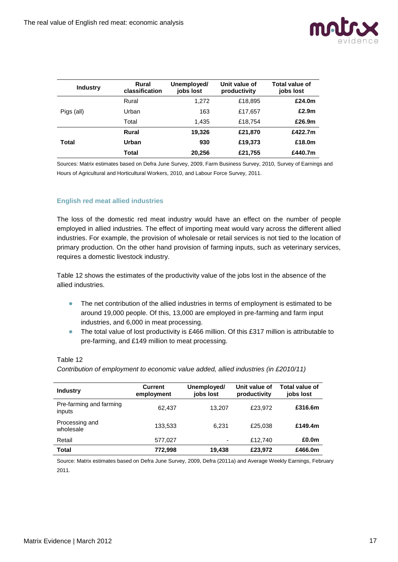

| <b>Industry</b> | Rural<br>classification | Unemployed/<br>jobs lost | Unit value of<br>productivity | Total value of<br>jobs lost |
|-----------------|-------------------------|--------------------------|-------------------------------|-----------------------------|
|                 | Rural                   | 1,272                    | £18,895                       | £24.0m                      |
| Pigs (all)      | Urban                   | 163                      | £17,657                       | £2.9m                       |
|                 | Total                   | 1.435                    | £18.754                       | £26.9m                      |
|                 | Rural                   | 19,326                   | £21,870                       | £422.7m                     |
| <b>Total</b>    | Urban                   | 930                      | £19,373                       | £18.0m                      |
|                 | <b>Total</b>            | 20,256                   | £21,755                       | £440.7m                     |

Sources: Matrix estimates based on Defra June Survey, 2009, Farm Business Survey, 2010, Survey of Earnings and Hours of Agricultural and Horticultural Workers, 2010, and Labour Force Survey, 2011.

## **English red meat allied industries**

The loss of the domestic red meat industry would have an effect on the number of people employed in allied industries. The effect of importing meat would vary across the different allied industries. For example, the provision of wholesale or retail services is not tied to the location of primary production. On the other hand provision of farming inputs, such as veterinary services, requires a domestic livestock industry.

Table 12 shows the estimates of the productivity value of the jobs lost in the absence of the allied industries.

- The net contribution of the allied industries in terms of employment is estimated to be  $\bullet$ around 19,000 people. Of this, 13,000 are employed in pre-farming and farm input industries, and 6,000 in meat processing.
- $\bullet$ The total value of lost productivity is £466 million. Of this £317 million is attributable to pre-farming, and £149 million to meat processing.

#### Table 12

*Contribution of employment to economic value added, allied industries (in £2010/11)*

| <b>Industry</b>                   | <b>Current</b><br>employment | Unemployed/<br>jobs lost | Unit value of<br>productivity | Total value of<br>jobs lost |
|-----------------------------------|------------------------------|--------------------------|-------------------------------|-----------------------------|
| Pre-farming and farming<br>inputs | 62.437                       | 13.207                   | £23.972                       | £316.6m                     |
| Processing and<br>wholesale       | 133,533                      | 6.231                    | £25.038                       | £149.4m                     |
| Retail                            | 577,027                      | -                        | £12,740                       | £0.0m                       |
| <b>Total</b>                      | 772.998                      | 19.438                   | £23,972                       | £466.0m                     |

Source: Matrix estimates based on Defra June Survey, 2009, Defra (2011a) and Average Weekly Earnings, February 2011.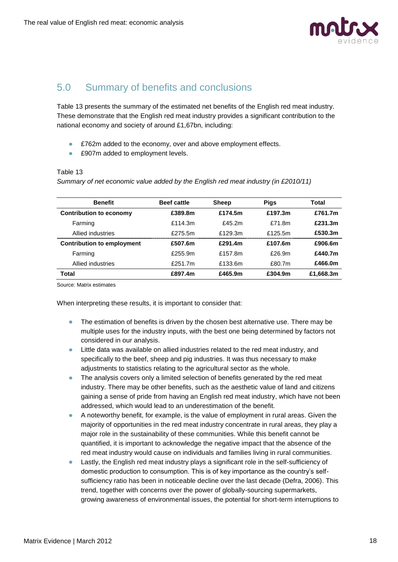

## <span id="page-17-0"></span>5.0 Summary of benefits and conclusions

Table 13 presents the summary of the estimated net benefits of the English red meat industry. These demonstrate that the English red meat industry provides a significant contribution to the national economy and society of around £1,67bn, including:

- £762m added to the economy, over and above employment effects.
- £907m added to employment levels.  $\bullet$

## Table 13

*Summary of net economic value added by the English red meat industry (in £2010/11)*

| <b>Benefit</b>                    | <b>Beef cattle</b> | <b>Sheep</b> | <b>Pigs</b> | Total     |
|-----------------------------------|--------------------|--------------|-------------|-----------|
| <b>Contribution to economy</b>    | £389.8m            | £174.5m      | £197.3m     | £761.7m   |
| Farming                           | £114.3m            | f45.2m       | £71.8m      | £231.3m   |
| Allied industries                 | £275.5m            | £129.3m      | f125.5m     | £530.3m   |
| <b>Contribution to employment</b> | £507.6m            | £291.4m      | £107.6m     | £906.6m   |
| Farming                           | £255.9m            | £157.8m      | $f$ 26.9m   | £440.7m   |
| Allied industries                 | $f$ 251.7m         | £133.6m      | £80.7m      | £466.0m   |
| Total                             | £897.4m            | £465.9m      | £304.9m     | £1,668.3m |

Source: Matrix estimates

When interpreting these results, it is important to consider that:

- $\bullet$ The estimation of benefits is driven by the chosen best alternative use. There may be multiple uses for the industry inputs, with the best one being determined by factors not considered in our analysis.
- Little data was available on allied industries related to the red meat industry, and specifically to the beef, sheep and pig industries. It was thus necessary to make adjustments to statistics relating to the agricultural sector as the whole.
- The analysis covers only a limited selection of benefits generated by the red meat industry. There may be other benefits, such as the aesthetic value of land and citizens gaining a sense of pride from having an English red meat industry, which have not been addressed, which would lead to an underestimation of the benefit.
- A noteworthy benefit, for example, is the value of employment in rural areas. Given the majority of opportunities in the red meat industry concentrate in rural areas, they play a major role in the sustainability of these communities. While this benefit cannot be quantified, it is important to acknowledge the negative impact that the absence of the red meat industry would cause on individuals and families living in rural communities.
- Lastly, the English red meat industry plays a significant role in the self-sufficiency of domestic production to consumption. This is of key importance as the country"s selfsufficiency ratio has been in noticeable decline over the last decade (Defra, 2006). This trend, together with concerns over the power of globally-sourcing supermarkets, growing awareness of environmental issues, the potential for short-term interruptions to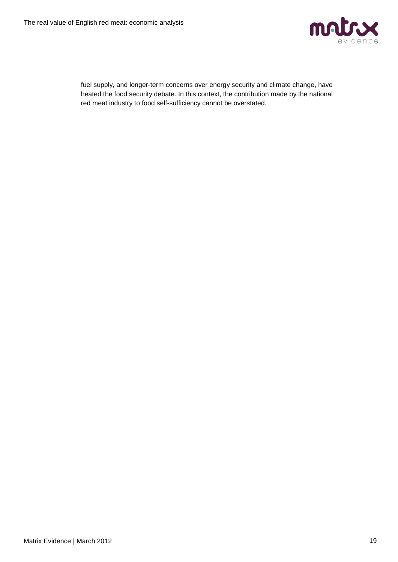

fuel supply, and longer-term concerns over energy security and climate change, have heated the food security debate. In this context, the contribution made by the national red meat industry to food self-sufficiency cannot be overstated.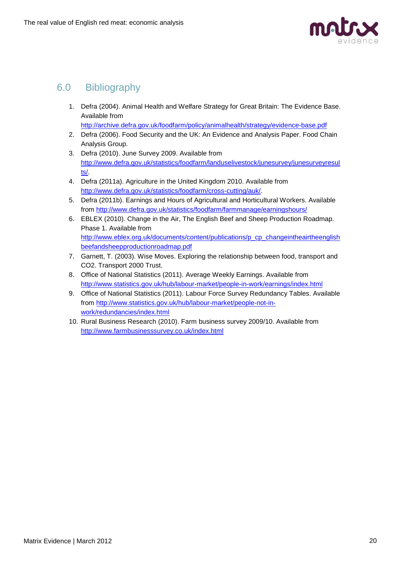

## <span id="page-19-0"></span>6.0 Bibliography

1. Defra (2004). Animal Health and Welfare Strategy for Great Britain: The Evidence Base. Available from

```
http://archive.defra.gov.uk/foodfarm/policy/animalhealth/strategy/evidence-base.pdf
```
- 2. Defra (2006). Food Security and the UK: An Evidence and Analysis Paper. Food Chain Analysis Group.
- 3. Defra (2010). June Survey 2009. Available from [http://www.defra.gov.uk/statistics/foodfarm/landuselivestock/junesurvey/junesurveyresul](http://www.defra.gov.uk/statistics/foodfarm/landuselivestock/junesurvey/junesurveyresults/) [ts/.](http://www.defra.gov.uk/statistics/foodfarm/landuselivestock/junesurvey/junesurveyresults/)
- 4. Defra (2011a). Agriculture in the United Kingdom 2010. Available from [http://www.defra.gov.uk/statistics/foodfarm/cross-cutting/auk/.](http://www.defra.gov.uk/statistics/foodfarm/cross-cutting/auk/)
- 5. Defra (2011b). Earnings and Hours of Agricultural and Horticultural Workers. Available from<http://www.defra.gov.uk/statistics/foodfarm/farmmanage/earningshours/>
- 6. EBLEX (2010). Change in the Air, The English Beef and Sheep Production Roadmap. Phase 1. Available from [http://www.eblex.org.uk/documents/content/publications/p\\_cp\\_changeintheairtheenglish](http://www.eblex.org.uk/documents/content/publications/p_cp_changeintheairtheenglishbeefandsheepproductionroadmap.pdf) [beefandsheepproductionroadmap.pdf](http://www.eblex.org.uk/documents/content/publications/p_cp_changeintheairtheenglishbeefandsheepproductionroadmap.pdf)
- 7. Garnett, T. (2003). Wise Moves. Exploring the relationship between food, transport and CO2. Transport 2000 Trust.
- 8. Office of National Statistics (2011). Average Weekly Earnings. Available from <http://www.statistics.gov.uk/hub/labour-market/people-in-work/earnings/index.html>
- 9. Office of National Statistics (2011). Labour Force Survey Redundancy Tables. Available from [http://www.statistics.gov.uk/hub/labour-market/people-not-in](http://www.statistics.gov.uk/hub/labour-market/people-not-in-work/redundancies/index.html)[work/redundancies/index.html](http://www.statistics.gov.uk/hub/labour-market/people-not-in-work/redundancies/index.html)
- 10. Rural Business Research (2010). Farm business survey 2009/10. Available from <http://www.farmbusinesssurvey.co.uk/index.html>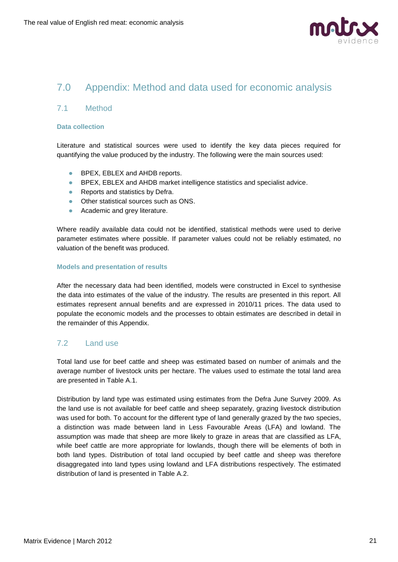

## <span id="page-20-0"></span>7.0 Appendix: Method and data used for economic analysis

## <span id="page-20-1"></span>7.1 Method

## **Data collection**

Literature and statistical sources were used to identify the key data pieces required for quantifying the value produced by the industry. The following were the main sources used:

- BPEX, EBLEX and AHDB reports.
- BPEX, EBLEX and AHDB market intelligence statistics and specialist advice.
- Reports and statistics by Defra.
- Other statistical sources such as ONS.
- Academic and grey literature.

Where readily available data could not be identified, statistical methods were used to derive parameter estimates where possible. If parameter values could not be reliably estimated, no valuation of the benefit was produced.

#### **Models and presentation of results**

After the necessary data had been identified, models were constructed in Excel to synthesise the data into estimates of the value of the industry. The results are presented in this report. All estimates represent annual benefits and are expressed in 2010/11 prices. The data used to populate the economic models and the processes to obtain estimates are described in detail in the remainder of this Appendix.

## <span id="page-20-2"></span>7.2 Land use

Total land use for beef cattle and sheep was estimated based on number of animals and the average number of livestock units per hectare. The values used to estimate the total land area are presented in Table A.1.

Distribution by land type was estimated using estimates from the Defra June Survey 2009. As the land use is not available for beef cattle and sheep separately, grazing livestock distribution was used for both. To account for the different type of land generally grazed by the two species, a distinction was made between land in Less Favourable Areas (LFA) and lowland. The assumption was made that sheep are more likely to graze in areas that are classified as LFA, while beef cattle are more appropriate for lowlands, though there will be elements of both in both land types. Distribution of total land occupied by beef cattle and sheep was therefore disaggregated into land types using lowland and LFA distributions respectively. The estimated distribution of land is presented in Table A.2.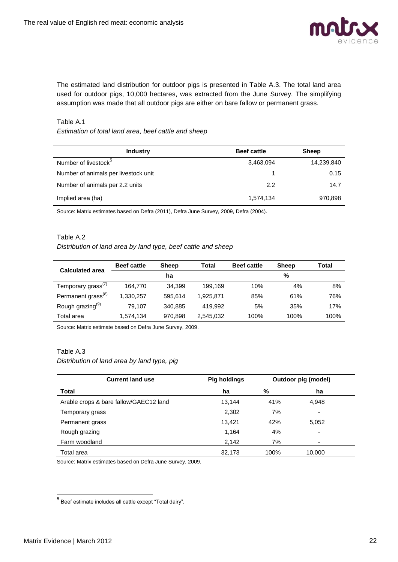

The estimated land distribution for outdoor pigs is presented in Table A.3. The total land area used for outdoor pigs, 10,000 hectares, was extracted from the June Survey. The simplifying assumption was made that all outdoor pigs are either on bare fallow or permanent grass.

#### Table A.1

## *Estimation of total land area, beef cattle and sheep*

| <b>Industry</b>                      | <b>Beef cattle</b> | <b>Sheep</b> |
|--------------------------------------|--------------------|--------------|
| Number of livestock <sup>5</sup>     | 3,463,094          | 14,239,840   |
| Number of animals per livestock unit |                    | 0.15         |
| Number of animals per 2.2 units      | 2.2                | 14.7         |
| Implied area (ha)                    | 1,574,134          | 970,898      |

Source: Matrix estimates based on Defra (2011), Defra June Survey, 2009, Defra (2004).

## Table A.2

#### *Distribution of land area by land type, beef cattle and sheep*

| <b>Calculated area</b>         | <b>Beef cattle</b> | <b>Sheep</b> | Total     | <b>Beef cattle</b> | <b>Sheep</b> | Total |
|--------------------------------|--------------------|--------------|-----------|--------------------|--------------|-------|
|                                |                    | ha           |           |                    | %            |       |
| Temporary grass <sup>(7)</sup> | 164.770            | 34.399       | 199.169   | 10%                | 4%           | 8%    |
| Permanent grass <sup>(8)</sup> | 1,330,257          | 595.614      | 1.925.871 | 85%                | 61%          | 76%   |
| Rough grazing <sup>(9)</sup>   | 79.107             | 340.885      | 419.992   | 5%                 | 35%          | 17%   |
| Total area                     | 1,574,134          | 970.898      | 2,545,032 | 100%               | 100%         | 100%  |

Source: Matrix estimate based on Defra June Survey, 2009.

## Table A.3

## *Distribution of land area by land type, pig*

| <b>Current land use</b>                | <b>Pig holdings</b> |      | Outdoor pig (model) |
|----------------------------------------|---------------------|------|---------------------|
| <b>Total</b>                           | ha                  | %    | ha                  |
| Arable crops & bare fallow/GAEC12 land | 13.144              | 41%  | 4,948               |
| Temporary grass                        | 2,302               | 7%   | ٠                   |
| Permanent grass                        | 13.421              | 42%  | 5,052               |
| Rough grazing                          | 1,164               | 4%   | ۰                   |
| Farm woodland                          | 2,142               | 7%   | -                   |
| Total area                             | 32,173              | 100% | 10,000              |

Source: Matrix estimates based on Defra June Survey, 2009.

 5 Beef estimate includes all cattle except "Total dairy".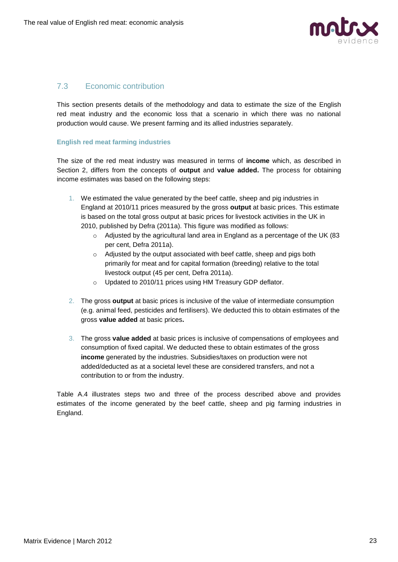

## <span id="page-22-0"></span>7.3 Economic contribution

This section presents details of the methodology and data to estimate the size of the English red meat industry and the economic loss that a scenario in which there was no national production would cause. We present farming and its allied industries separately.

## **English red meat farming industries**

The size of the red meat industry was measured in terms of **income** which, as described in Section 2, differs from the concepts of **output** and **value added.** The process for obtaining income estimates was based on the following steps:

- 1. We estimated the value generated by the beef cattle, sheep and pig industries in England at 2010/11 prices measured by the gross **output** at basic prices. This estimate is based on the total gross output at basic prices for livestock activities in the UK in 2010, published by Defra (2011a). This figure was modified as follows:
	- $\circ$  Adjusted by the agricultural land area in England as a percentage of the UK (83) per cent, Defra 2011a).
	- o Adjusted by the output associated with beef cattle, sheep and pigs both primarily for meat and for capital formation (breeding) relative to the total livestock output (45 per cent, Defra 2011a).
	- o Updated to 2010/11 prices using HM Treasury GDP deflator.
- 2. The gross **output** at basic prices is inclusive of the value of intermediate consumption (e.g. animal feed, pesticides and fertilisers). We deducted this to obtain estimates of the gross **value added** at basic prices**.**
- 3. The gross **value added** at basic prices is inclusive of compensations of employees and consumption of fixed capital. We deducted these to obtain estimates of the gross **income** generated by the industries. Subsidies/taxes on production were not added/deducted as at a societal level these are considered transfers, and not a contribution to or from the industry.

Table A.4 illustrates steps two and three of the process described above and provides estimates of the income generated by the beef cattle, sheep and pig farming industries in England.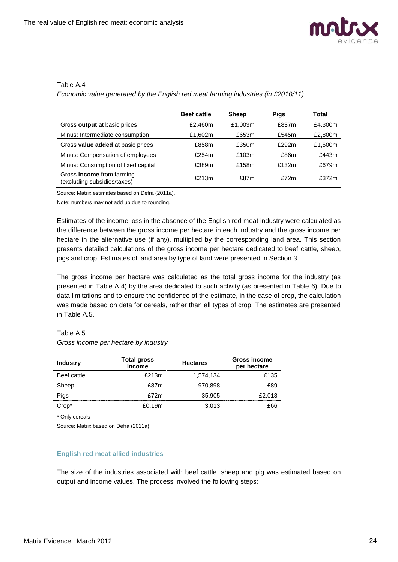

## Table A.4

*Economic value generated by the English red meat farming industries (in £2010/11)*

|                                                                 | <b>Beef cattle</b> | <b>Sheep</b> | <b>Pigs</b> | Total   |
|-----------------------------------------------------------------|--------------------|--------------|-------------|---------|
| Gross output at basic prices                                    | £2.460m            | £1.003m      | £837m       | £4,300m |
| Minus: Intermediate consumption                                 | £1,602m            | £653m        | £545m       | £2,800m |
| Gross value added at basic prices                               | £858m              | £350m        | £292m       | £1,500m |
| Minus: Compensation of employees                                | £254m              | £103m        | £86m        | £443m   |
| Minus: Consumption of fixed capital                             | £389m              | £158m        | £132m       | £679m   |
| Gross <b>income</b> from farming<br>(excluding subsidies/taxes) | £213m              | £87m         | £72m        | £372m   |

Source: Matrix estimates based on Defra (2011a).

Note: numbers may not add up due to rounding.

Estimates of the income loss in the absence of the English red meat industry were calculated as the difference between the gross income per hectare in each industry and the gross income per hectare in the alternative use (if any), multiplied by the corresponding land area. This section presents detailed calculations of the gross income per hectare dedicated to beef cattle, sheep, pigs and crop. Estimates of land area by type of land were presented in Section 3.

The gross income per hectare was calculated as the total gross income for the industry (as presented in Table A.4) by the area dedicated to such activity (as presented in Table 6). Due to data limitations and to ensure the confidence of the estimate, in the case of crop, the calculation was made based on data for cereals, rather than all types of crop. The estimates are presented in Table A.5.

## Table A.5

| Gross income per hectare by industry |  |
|--------------------------------------|--|
|--------------------------------------|--|

| <b>Industry</b> | <b>Total gross</b><br>income | <b>Hectares</b> | <b>Gross income</b><br>per hectare |
|-----------------|------------------------------|-----------------|------------------------------------|
| Beef cattle     | £213m                        | 1,574,134       | £135                               |
| Sheep           | £87m                         | 970,898         | £89                                |
| Pigs            | f72m                         | 35,905          | £2,018                             |
| $Crop*$         | £0.19m                       | 3,013           | £66                                |

\* Only cereals

Source: Matrix based on Defra (2011a).

## **English red meat allied industries**

The size of the industries associated with beef cattle, sheep and pig was estimated based on output and income values. The process involved the following steps: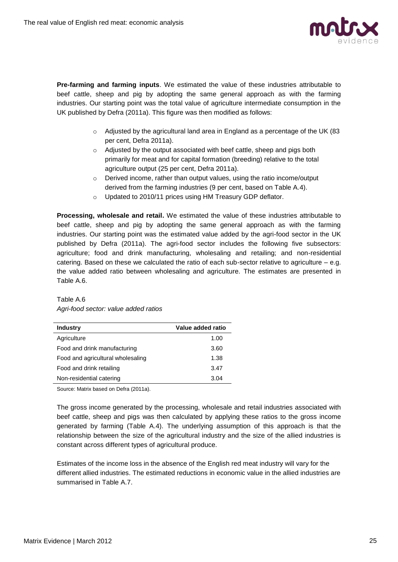

**Pre-farming and farming inputs**. We estimated the value of these industries attributable to beef cattle, sheep and pig by adopting the same general approach as with the farming industries. Our starting point was the total value of agriculture intermediate consumption in the UK published by Defra (2011a). This figure was then modified as follows:

- o Adjusted by the agricultural land area in England as a percentage of the UK (83 per cent, Defra 2011a).
- o Adjusted by the output associated with beef cattle, sheep and pigs both primarily for meat and for capital formation (breeding) relative to the total agriculture output (25 per cent, Defra 2011a).
- o Derived income, rather than output values, using the ratio income/output derived from the farming industries (9 per cent, based on Table A.4).
- o Updated to 2010/11 prices using HM Treasury GDP deflator.

**Processing, wholesale and retail.** We estimated the value of these industries attributable to beef cattle, sheep and pig by adopting the same general approach as with the farming industries. Our starting point was the estimated value added by the agri-food sector in the UK published by Defra (2011a). The agri-food sector includes the following five subsectors: agriculture; food and drink manufacturing, wholesaling and retailing; and non-residential catering. Based on these we calculated the ratio of each sub-sector relative to agriculture – e.g. the value added ratio between wholesaling and agriculture. The estimates are presented in Table A.6.

Table A.6 *Agri-food sector: value added ratios*

| <b>Industry</b>                   | Value added ratio |
|-----------------------------------|-------------------|
| Agriculture                       | 1.00              |
| Food and drink manufacturing      | 3.60              |
| Food and agricultural wholesaling | 1.38              |
| Food and drink retailing          | 3.47              |
| Non-residential catering          | 3.04              |

Source: Matrix based on Defra (2011a).

The gross income generated by the processing, wholesale and retail industries associated with beef cattle, sheep and pigs was then calculated by applying these ratios to the gross income generated by farming (Table A.4). The underlying assumption of this approach is that the relationship between the size of the agricultural industry and the size of the allied industries is constant across different types of agricultural produce.

Estimates of the income loss in the absence of the English red meat industry will vary for the different allied industries. The estimated reductions in economic value in the allied industries are summarised in Table A.7.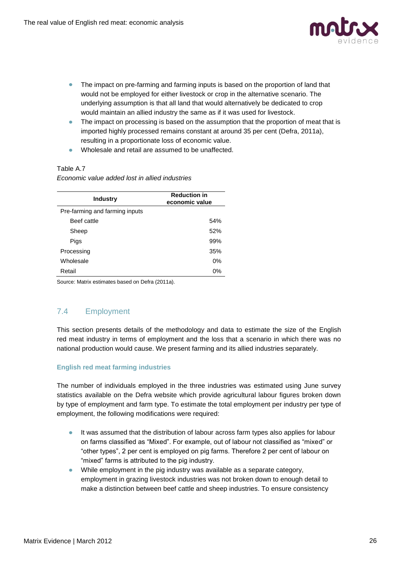

- The impact on pre-farming and farming inputs is based on the proportion of land that would not be employed for either livestock or crop in the alternative scenario. The underlying assumption is that all land that would alternatively be dedicated to crop would maintain an allied industry the same as if it was used for livestock.
- The impact on processing is based on the assumption that the proportion of meat that is imported highly processed remains constant at around 35 per cent (Defra, 2011a), resulting in a proportionate loss of economic value.
- Wholesale and retail are assumed to be unaffected.

## Table A.7

## *Economic value added lost in allied industries*

| <b>Industry</b>                | <b>Reduction in</b><br>economic value |
|--------------------------------|---------------------------------------|
| Pre-farming and farming inputs |                                       |
| Beef cattle                    | 54%                                   |
| Sheep                          | 52%                                   |
| Pigs                           | 99%                                   |
| Processing                     | 35%                                   |
| Wholesale                      | 0%                                    |
| Retail                         | 0%                                    |

Source: Matrix estimates based on Defra (2011a).

## <span id="page-25-0"></span>7.4 Employment

This section presents details of the methodology and data to estimate the size of the English red meat industry in terms of employment and the loss that a scenario in which there was no national production would cause. We present farming and its allied industries separately.

## **English red meat farming industries**

The number of individuals employed in the three industries was estimated using June survey statistics available on the Defra website which provide agricultural labour figures broken down by type of employment and farm type. To estimate the total employment per industry per type of employment, the following modifications were required:

- It was assumed that the distribution of labour across farm types also applies for labour on farms classified as "Mixed". For example, out of labour not classified as "mixed" or "other types", 2 per cent is employed on pig farms. Therefore 2 per cent of labour on "mixed" farms is attributed to the pig industry.
- While employment in the pig industry was available as a separate category, employment in grazing livestock industries was not broken down to enough detail to make a distinction between beef cattle and sheep industries. To ensure consistency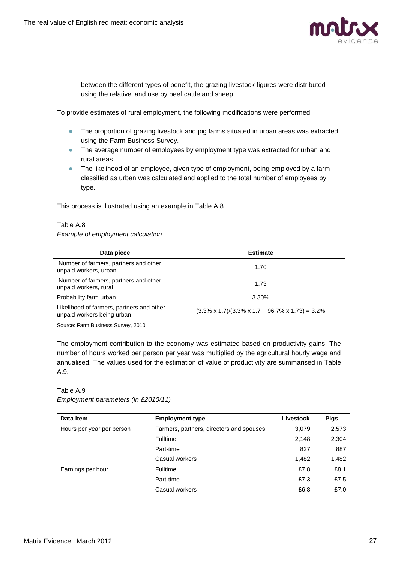

between the different types of benefit, the grazing livestock figures were distributed using the relative land use by beef cattle and sheep.

To provide estimates of rural employment, the following modifications were performed:

- The proportion of grazing livestock and pig farms situated in urban areas was extracted using the Farm Business Survey.
- The average number of employees by employment type was extracted for urban and rural areas.
- The likelihood of an employee, given type of employment, being employed by a farm classified as urban was calculated and applied to the total number of employees by type.

This process is illustrated using an example in Table A.8.

#### Table A.8

*Example of employment calculation*

| Data piece                                                              | <b>Estimate</b>                                                      |
|-------------------------------------------------------------------------|----------------------------------------------------------------------|
| Number of farmers, partners and other<br>unpaid workers, urban          | 1.70                                                                 |
| Number of farmers, partners and other<br>unpaid workers, rural          | 1.73                                                                 |
| Probability farm urban                                                  | 3.30%                                                                |
| Likelihood of farmers, partners and other<br>unpaid workers being urban | $(3.3\% \times 1.7)/(3.3\% \times 1.7 + 96.7\% \times 1.73) = 3.2\%$ |
|                                                                         |                                                                      |

Source: Farm Business Survey, 2010

The employment contribution to the economy was estimated based on productivity gains. The number of hours worked per person per year was multiplied by the agricultural hourly wage and annualised. The values used for the estimation of value of productivity are summarised in Table A.9.

## Table A.9

*Employment parameters (in £2010/11)*

| Data item                 | <b>Employment type</b>                   | <b>Livestock</b> | <b>Pigs</b> |
|---------------------------|------------------------------------------|------------------|-------------|
| Hours per year per person | Farmers, partners, directors and spouses | 3,079            | 2,573       |
|                           | <b>Fulltime</b>                          | 2,148            | 2,304       |
|                           | Part-time                                | 827              | 887         |
|                           | Casual workers                           | 1,482            | 1,482       |
| Earnings per hour         | <b>Fulltime</b>                          | £7.8             | £8.1        |
|                           | Part-time                                | £7.3             | £7.5        |
|                           | Casual workers                           | £6.8             | £7.0        |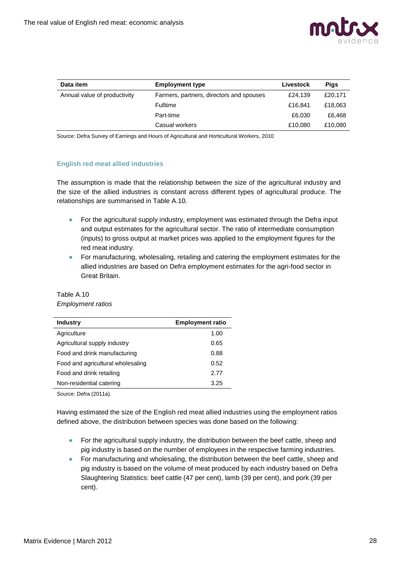

| Data item                    | <b>Employment type</b>                   | Livestock | <b>Pigs</b> |
|------------------------------|------------------------------------------|-----------|-------------|
| Annual value of productivity | Farmers, partners, directors and spouses | £24.139   | £20,171     |
|                              | Fulltime                                 | £16,841   | £18,063     |
|                              | Part-time                                | £6,030    | £6,468      |
|                              | Casual workers                           | £10.080   | £10,080     |

Source: Defra Survey of Earnings and Hours of Agricultural and Horticultural Workers, 2010

## **English red meat allied industries**

The assumption is made that the relationship between the size of the agricultural industry and the size of the allied industries is constant across different types of agricultural produce. The relationships are summarised in Table A.10.

- For the agricultural supply industry, employment was estimated through the Defra input and output estimates for the agricultural sector. The ratio of intermediate consumption (inputs) to gross output at market prices was applied to the employment figures for the red meat industry.
- **•** For manufacturing, wholesaling, retailing and catering the employment estimates for the allied industries are based on Defra employment estimates for the agri-food sector in Great Britain.

| <b>Industry</b>                   | <b>Employment ratio</b> |  |  |
|-----------------------------------|-------------------------|--|--|
| Agriculture                       | 1.00                    |  |  |
| Agricultural supply industry      | 0.65                    |  |  |
| Food and drink manufacturing      | 0.88                    |  |  |
| Food and agricultural wholesaling | 0.52                    |  |  |
| Food and drink retailing          | 2.77                    |  |  |
| Non-residential catering          | 3.25                    |  |  |
| _ _ _ _ _ _ .                     |                         |  |  |

## Table A.10 *Employment ratios*

Source: Defra (2011a).

Having estimated the size of the English red meat allied industries using the employment ratios defined above, the distribution between species was done based on the following:

- $\bullet$ For the agricultural supply industry, the distribution between the beef cattle, sheep and pig industry is based on the number of employees in the respective farming industries.
- For manufacturing and wholesaling, the distribution between the beef cattle, sheep and pig industry is based on the volume of meat produced by each industry based on Defra Slaughtering Statistics: beef cattle (47 per cent), lamb (39 per cent), and pork (39 per cent).